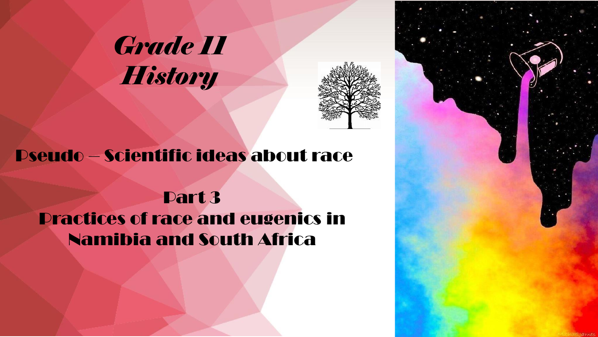# *Grade 11 History*



## Pseudo – Scientific ideas about race

# Part 3 Practices of race and eugenics in Namibia and South Africa

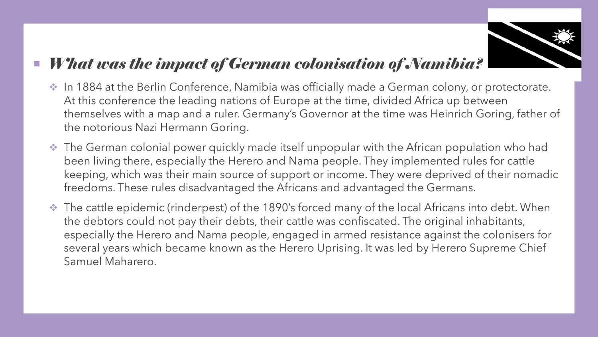

### *What was the impact of German colonisation of Namibia?*

- ❖ In 1884 at the Berlin Conference, Namibia was officially made a German colony, or protectorate. At this conference the leading nations of Europe at the time, divided Africa up between themselves with a map and a ruler. Germany's Governor at the time was Heinrich Goring, father of the notorious Nazi Hermann Goring.
- ❖ The German colonial power quickly made itself unpopular with the African population who had been living there, especially the Herero and Nama people. They implemented rules for cattle keeping, which was their main source of support or income. They were deprived of their nomadic freedoms. These rules disadvantaged the Africans and advantaged the Germans.
- ❖ The cattle epidemic (rinderpest) of the 1890's forced many of the local Africans into debt. When the debtors could not pay their debts, their cattle was confiscated. The original inhabitants, especially the Herero and Nama people, engaged in armed resistance against the colonisers for several years which became known as the Herero Uprising. It was led by Herero Supreme Chief Samuel Maharero.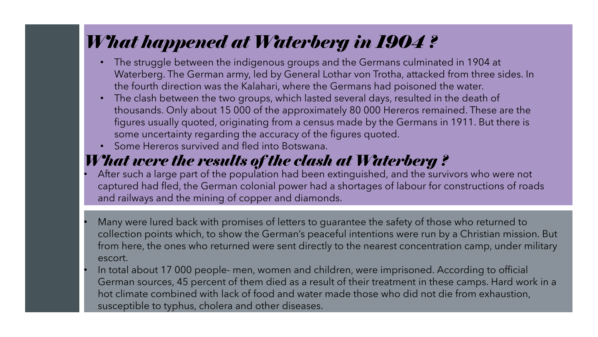# *What happened at Waterberg in 1904 ?*

- The struggle between the indigenous groups and the Germans culminated in 1904 at Waterberg. The German army, led by General Lothar von Trotha, attacked from three sides. In the fourth direction was the Kalahari, where the Germans had poisoned the water.
- The clash between the two groups, which lasted several days, resulted in the death of thousands. Only about 15 000 of the approximately 80 000 Hereros remained. These are the figures usually quoted, originating from a census made by the Germans in 1911. But there is some uncertainty regarding the accuracy of the figures quoted.
- Some Hereros survived and fled into Botswana.

## *What were the results of the clash at Waterberg ?*

• After such a large part of the population had been extinguished, and the survivors who were not captured had fled, the German colonial power had a shortages of labour for constructions of roads and railways and the mining of copper and diamonds.

- Many were lured back with promises of letters to guarantee the safety of those who returned to collection points which, to show the German's peaceful intentions were run by a Christian mission. But from here, the ones who returned were sent directly to the nearest concentration camp, under military escort.
- In total about 17 000 people- men, women and children, were imprisoned. According to official German sources, 45 percent of them died as a result of their treatment in these camps. Hard work in a hot climate combined with lack of food and water made those who did not die from exhaustion, susceptible to typhus, cholera and other diseases.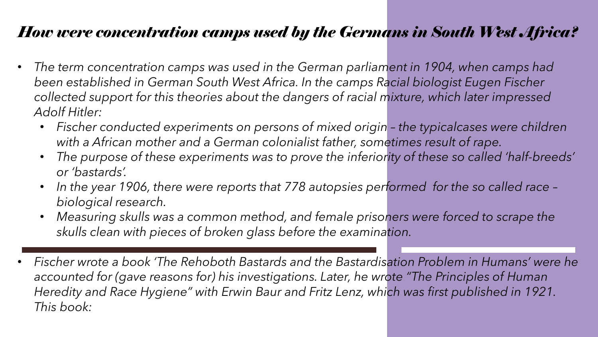## *How were concentration camps used by the Germans in South West Africa?*

- *The term concentration camps was used in the German parliament in 1904, when camps had been established in German South West Africa. In the camps Racial biologist Eugen Fischer collected support for this theories about the dangers of racial mixture, which later impressed Adolf Hitler:*
	- *Fischer conducted experiments on persons of mixed origin – the typicalcases were children with a African mother and a German colonialist father, sometimes result of rape.*
	- *The purpose of these experiments was to prove the inferiority of these so called 'half-breeds' or 'bastards'.*
	- *In the year 1906, there were reports that 778 autopsies performed for the so called race – biological research.*
	- *Measuring skulls was a common method, and female prisoners were forced to scrape the skulls clean with pieces of broken glass before the examination.*
- *Fischer wrote a book 'The Rehoboth Bastards and the Bastardisation Problem in Humans' were he accounted for (gave reasons for) his investigations. Later, he wrote "The Principles of Human Heredity and Race Hygiene" with Erwin Baur and Fritz Lenz, which was first published in 1921. This book:*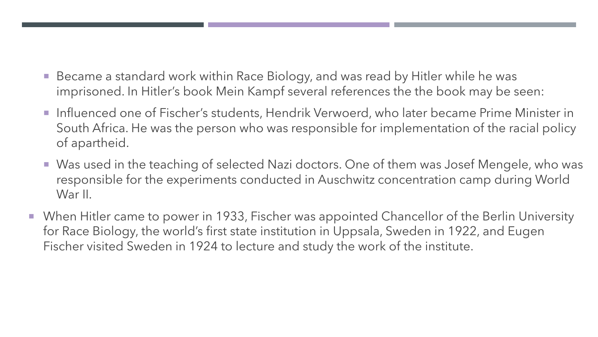- Became a standard work within Race Biology, and was read by Hitler while he was imprisoned. In Hitler's book Mein Kampf several references the the book may be seen:
- **Influenced one of Fischer's students, Hendrik Verwoerd, who later became Prime Minister in** South Africa. He was the person who was responsible for implementation of the racial policy of apartheid.
- Was used in the teaching of selected Nazi doctors. One of them was Josef Mengele, who was responsible for the experiments conducted in Auschwitz concentration camp during World War II.
- When Hitler came to power in 1933, Fischer was appointed Chancellor of the Berlin University for Race Biology, the world's first state institution in Uppsala, Sweden in 1922, and Eugen Fischer visited Sweden in 1924 to lecture and study the work of the institute.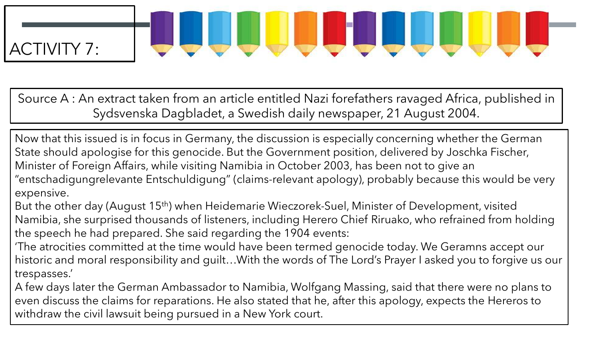# JUULLLUUU ACTIVITY 7:

Source A : An extract taken from an article entitled Nazi forefathers ravaged Africa, published in Sydsvenska Dagbladet, a Swedish daily newspaper, 21 August 2004.

Now that this issued is in focus in Germany, the discussion is especially concerning whether the German State should apologise for this genocide. But the Government position, delivered by Joschka Fischer, Minister of Foreign Affairs, while visiting Namibia in October 2003, has been not to give an "entschadigungrelevante Entschuldigung" (claims-relevant apology), probably because this would be very expensive.

But the other day (August 15th) when Heidemarie Wieczorek-Suel, Minister of Development, visited Namibia, she surprised thousands of listeners, including Herero Chief Riruako, who refrained from holding the speech he had prepared. She said regarding the 1904 events:

'The atrocities committed at the time would have been termed genocide today. We Geramns accept our historic and moral responsibility and guilt…With the words of The Lord's Prayer I asked you to forgive us our trespasses.'

A few days later the German Ambassador to Namibia, Wolfgang Massing, said that there were no plans to even discuss the claims for reparations. He also stated that he, after this apology, expects the Hereros to withdraw the civil lawsuit being pursued in a New York court.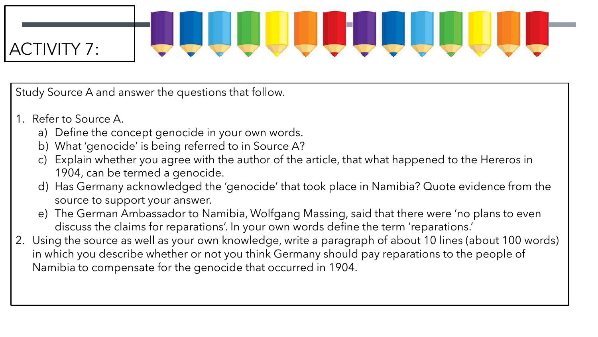# ACTIVITY 7:

Study Source A and answer the questions that follow.

- 1. Refer to Source A.
	- a) Define the concept genocide in your own words.
	- b) What 'genocide' is being referred to in Source A?
	- c) Explain whether you agree with the author of the article, that what happened to the Hereros in 1904, can be termed a genocide.
	- d) Has Germany acknowledged the 'genocide' that took place in Namibia? Quote evidence from the source to support your answer.
	- e) The German Ambassador to Namibia, Wolfgang Massing, said that there were 'no plans to even discuss the claims for reparations'. In your own words define the term 'reparations.'
- 2. Using the source as well as your own knowledge, write a paragraph of about 10 lines (about 100 words) in which you describe whether or not you think Germany should pay reparations to the people of Namibia to compensate for the genocide that occurred in 1904.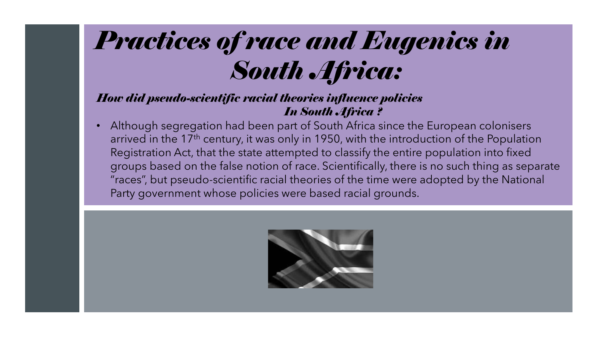# *Practices of race and Eugenics in South Africa:*

#### *How did pseudo-scientific racial theories influence policies In South Africa ?*

• Although segregation had been part of South Africa since the European colonisers arrived in the 17<sup>th</sup> century, it was only in 1950, with the introduction of the Population Registration Act, that the state attempted to classify the entire population into fixed groups based on the false notion of race. Scientifically, there is no such thing as separate "races", but pseudo-scientific racial theories of the time were adopted by the National Party government whose policies were based racial grounds.

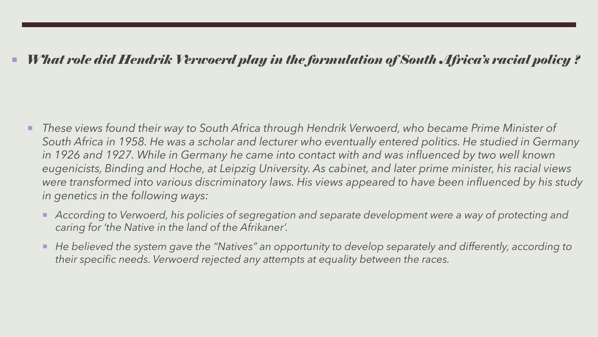### *What role did Hendrik Verwoerd play in the formulation of South Africa's racial policy ?*

- *These views found their way to South Africa through Hendrik Verwoerd, who became Prime Minister of South Africa in 1958. He was a scholar and lecturer who eventually entered politics. He studied in Germany*  in 1926 and 1927. While in Germany he came into contact with and was influenced by two well known *eugenicists, Binding and Hoche, at Leipzig University. As cabinet, and later prime minister, his racial views were transformed into various discriminatory laws. His views appeared to have been influenced by his study in genetics in the following ways:*
	- *According to Verwoerd, his policies of segregation and separate development were a way of protecting and caring for 'the Native in the land of the Afrikaner'.*
	- *He believed the system gave the "Natives" an opportunity to develop separately and differently, according to their specific needs. Verwoerd rejected any attempts at equality between the races.*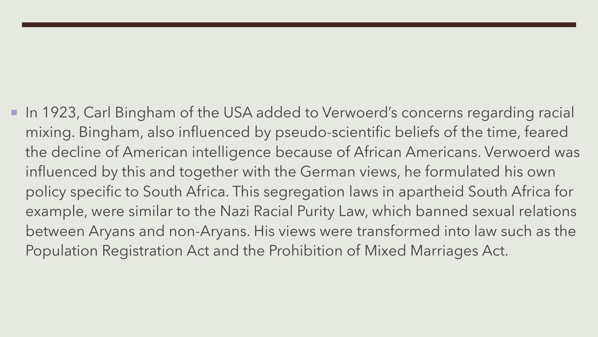In 1923, Carl Bingham of the USA added to Verwoerd's concerns regarding racial mixing. Bingham, also influenced by pseudo-scientific beliefs of the time, feared the decline of American intelligence because of African Americans. Verwoerd was influenced by this and together with the German views, he formulated his own policy specific to South Africa. This segregation laws in apartheid South Africa for example, were similar to the Nazi Racial Purity Law, which banned sexual relations between Aryans and non-Aryans. His views were transformed into law such as the Population Registration Act and the Prohibition of Mixed Marriages Act.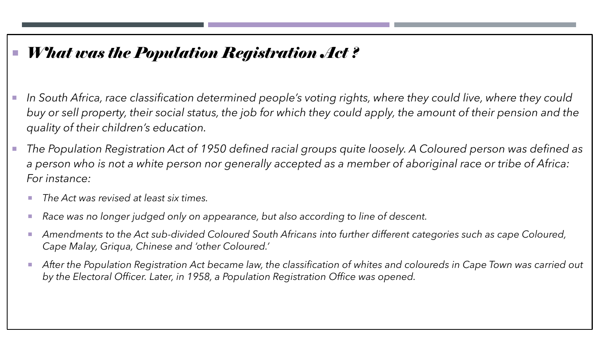## *What was the Population Registration Act ?*

- In South Africa, race classification determined people's voting rights, where they could live, where they could *buy or sell property, their social status, the job for which they could apply, the amount of their pension and the quality of their children's education.*
- *The Population Registration Act of 1950 defined racial groups quite loosely. A Coloured person was defined as a person who is not a white person nor generally accepted as a member of aboriginal race or tribe of Africa: For instance:*
	- *The Act was revised at least six times.*
	- *Race was no longer judged only on appearance, but also according to line of descent.*
	- Amendments to the Act sub-divided Coloured South Africans into further different categories such as cape Coloured, *Cape Malay, Griqua, Chinese and 'other Coloured.'*
	- *After the Population Registration Act became law, the classification of whites and coloureds in Cape Town was carried out by the Electoral Officer. Later, in 1958, a Population Registration Office was opened.*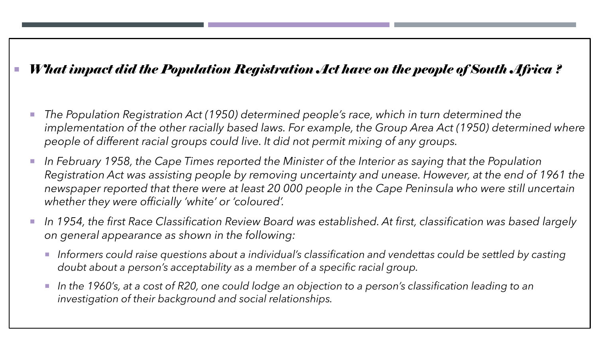### *What impact did the Population Registration Act have on the people of South Africa ?*

- *The Population Registration Act (1950) determined people's race, which in turn determined the*  implementation of the other racially based laws. For example, the Group Area Act (1950) determined where *people of different racial groups could live. It did not permit mixing of any groups.*
- *In February 1958, the Cape Times reported the Minister of the Interior as saying that the Population Registration Act was assisting people by removing uncertainty and unease. However, at the end of 1961 the newspaper reported that there were at least 20 000 people in the Cape Peninsula who were still uncertain whether they were officially 'white' or 'coloured'.*
- *In 1954, the first Race Classification Review Board was established. At first, classification was based largely on general appearance as shown in the following:*
	- *Informers could raise questions about a individual's classification and vendettas could be settled by casting doubt about a person's acceptability as a member of a specific racial group.*
	- *In the 1960's, at a cost of R20, one could lodge an objection to a person's classification leading to an investigation of their background and social relationships.*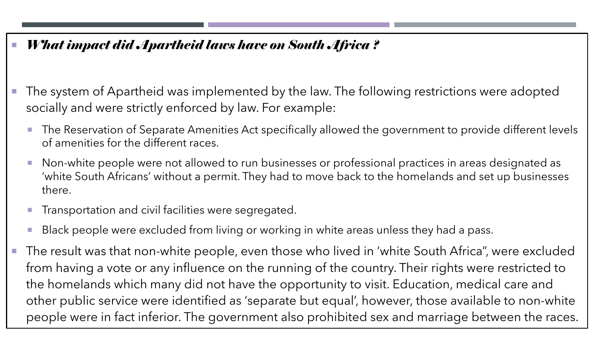### *What impact did Apartheid laws have on South Africa ?*

- The system of Apartheid was implemented by the law. The following restrictions were adopted socially and were strictly enforced by law. For example:
	- **The Reservation of Separate Amenities Act specifically allowed the government to provide different levels** of amenities for the different races.
	- **Non-white people were not allowed to run businesses or professional practices in areas designated as** 'white South Africans' without a permit. They had to move back to the homelands and set up businesses there.
	- **Transportation and civil facilities were segregated.**
	- Black people were excluded from living or working in white areas unless they had a pass.
- The result was that non-white people, even those who lived in 'white South Africa", were excluded from having a vote or any influence on the running of the country. Their rights were restricted to the homelands which many did not have the opportunity to visit. Education, medical care and other public service were identified as 'separate but equal', however, those available to non-white people were in fact inferior. The government also prohibited sex and marriage between the races.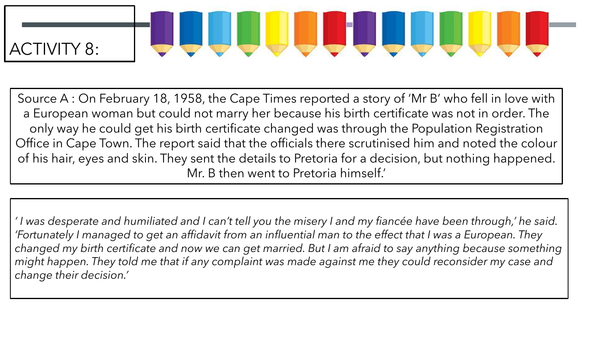# JUULILUU ACTIVITY 8:

Source A : On February 18, 1958, the Cape Times reported a story of 'Mr B' who fell in love with a European woman but could not marry her because his birth certificate was not in order. The only way he could get his birth certificate changed was through the Population Registration Office in Cape Town. The report said that the officials there scrutinised him and noted the colour of his hair, eyes and skin. They sent the details to Pretoria for a decision, but nothing happened. Mr. B then went to Pretoria himself.'

*' I was desperate and humiliated and I can't tell you the misery I and my fiancée have been through,' he said. 'Fortunately I managed to get an affidavit from an influential man to the effect that I was a European. They changed my birth certificate and now we can get married. But I am afraid to say anything because something might happen. They told me that if any complaint was made against me they could reconsider my case and change their decision.'*